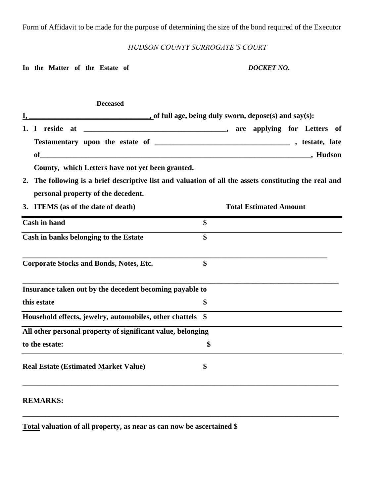Form of Affidavit to be made for the purpose of determining the size of the bond required of the Executor

# *HUDSON COUNTY SURROGATE'S COURT*

In the Matter of the Estate of *DOCKET NO*.

|             | <b>Deceased</b>                                                                                        |                   |                               |
|-------------|--------------------------------------------------------------------------------------------------------|-------------------|-------------------------------|
|             | $\blacksquare$ , of full age, being duly sworn, depose(s) and say(s):                                  |                   |                               |
|             |                                                                                                        |                   |                               |
|             |                                                                                                        |                   |                               |
|             | <b>of</b>                                                                                              |                   |                               |
|             | County, which Letters have not yet been granted.                                                       |                   |                               |
|             | 2. The following is a brief descriptive list and valuation of all the assets constituting the real and |                   |                               |
|             | personal property of the decedent.                                                                     |                   |                               |
|             | 3. ITEMS (as of the date of death)                                                                     |                   | <b>Total Estimated Amount</b> |
|             | <b>Cash in hand</b>                                                                                    | \$                |                               |
|             | Cash in banks belonging to the Estate                                                                  | $\boldsymbol{\$}$ |                               |
|             | <b>Corporate Stocks and Bonds, Notes, Etc.</b>                                                         | \$                |                               |
|             | Insurance taken out by the decedent becoming payable to                                                |                   |                               |
| this estate |                                                                                                        | \$                |                               |
|             | Household effects, jewelry, automobiles, other chattels \$                                             |                   |                               |
|             | All other personal property of significant value, belonging                                            |                   |                               |
|             | to the estate:                                                                                         | \$                |                               |
|             | <b>Real Estate (Estimated Market Value)</b>                                                            | \$                |                               |
|             | <b>REMARKS:</b>                                                                                        |                   |                               |

**\_\_\_\_\_\_\_\_\_\_\_\_\_\_\_\_\_\_\_\_\_\_\_\_\_\_\_\_\_\_\_\_\_\_\_\_\_\_\_\_\_\_\_\_\_\_\_\_\_\_\_\_\_\_\_\_\_\_\_\_\_\_\_\_\_\_\_\_\_\_\_\_\_\_\_\_\_\_\_\_\_\_\_\_**

**Total valuation of all property, as near as can now be ascertained \$**